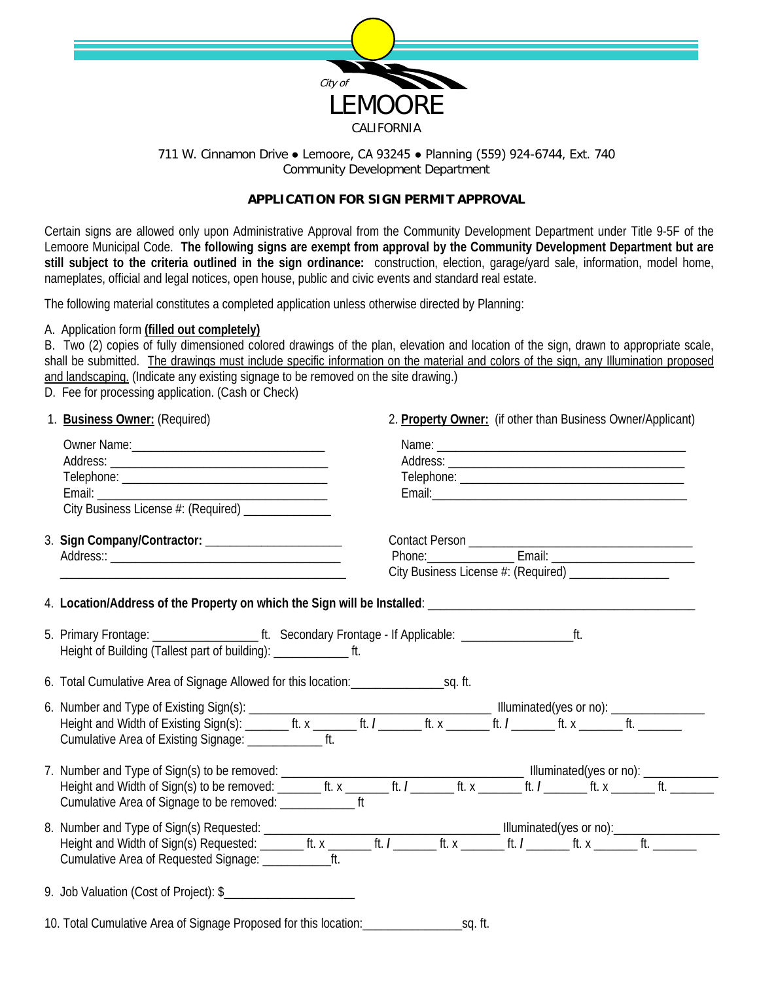

## 711 W. Cinnamon Drive • Lemoore, CA 93245 • Planning (559) 924-6744, Ext. 740 Community Development Department

# **APPLICATION FOR SIGN PERMIT APPROVAL**

Certain signs are allowed only upon Administrative Approval from the Community Development Department under Title 9-5F of the Lemoore Municipal Code. **The following signs are exempt from approval by the Community Development Department but are**  still subject to the criteria outlined in the sign ordinance: construction, election, garage/yard sale, information, model home, nameplates, official and legal notices, open house, public and civic events and standard real estate.

The following material constitutes a completed application unless otherwise directed by Planning:

## A. Application form **(filled out completely)**

B. Two (2) copies of fully dimensioned colored drawings of the plan, elevation and location of the sign, drawn to appropriate scale, shall be submitted. The drawings must include specific information on the material and colors of the sign, any Illumination proposed and landscaping. (Indicate any existing signage to be removed on the site drawing.) D. Fee for processing application. (Cash or Check)

| 1. Business Owner: (Required)                                       | 2. Property Owner: (if other than Business Owner/Applicant) |
|---------------------------------------------------------------------|-------------------------------------------------------------|
| City Business License #: (Required) ______________                  |                                                             |
|                                                                     | City Business License #: (Required) _________________       |
|                                                                     |                                                             |
| Height of Building (Tallest part of building): ________________ ft. |                                                             |
|                                                                     |                                                             |
| Cumulative Area of Existing Signage: ___________________ ft.        |                                                             |
| Cumulative Area of Signage to be removed: _________________ ft      |                                                             |
|                                                                     |                                                             |
|                                                                     |                                                             |
| 9. Job Valuation (Cost of Project): \$                              |                                                             |
|                                                                     |                                                             |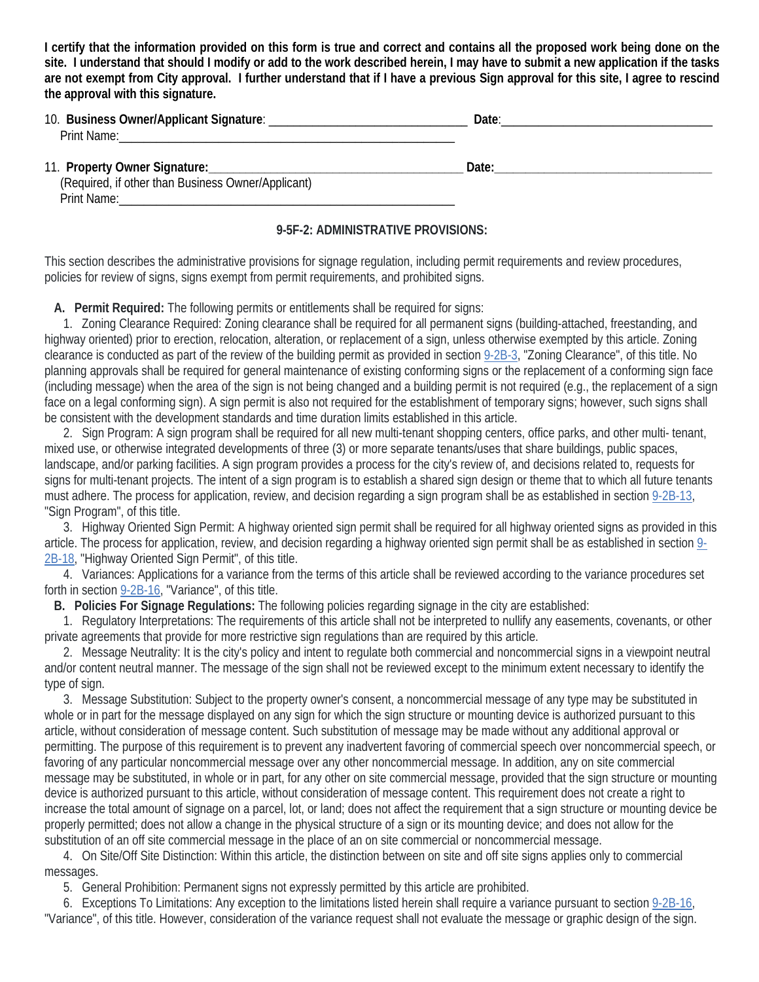**I certify that the information provided on this form is true and correct and contains all the proposed work being done on the site. I understand that should I modify or add to the work described herein, I may have to submit a new application if the tasks are not exempt from City approval. I further understand that if I have a previous Sign approval for this site, I agree to rescind the approval with this signature.**

| 10.<br>– Rus<br>()wner/Annlican<br>- 51 L L |  |
|---------------------------------------------|--|
| Drint<br>w                                  |  |
|                                             |  |

#### 11. **Property Owner Signature:\_\_\_\_\_\_\_\_\_\_\_\_\_\_\_\_\_\_\_\_\_\_\_\_\_\_\_\_\_\_\_\_\_\_\_\_\_\_\_\_\_ Date:\_\_\_\_\_\_\_\_\_\_\_\_\_\_\_\_\_\_\_\_\_\_\_\_\_\_\_\_\_\_\_\_\_\_\_** (Required, if other than Business Owner/Applicant) Print Name:\_\_\_\_\_\_\_\_\_\_\_\_\_\_\_\_\_\_\_\_\_\_\_\_\_\_\_\_\_\_\_\_\_\_\_\_\_\_\_\_\_\_\_\_\_\_\_\_\_\_\_\_\_\_

#### **9-5F-2: ADMINISTRATIVE PROVISIONS:**

This section describes the administrative provisions for signage regulation, including permit requirements and review procedures, policies for review of signs, signs exempt from permit requirements, and prohibited signs.

**A. Permit Required:** The following permits or entitlements shall be required for signs:

 1. Zoning Clearance Required: Zoning clearance shall be required for all permanent signs (building-attached, freestanding, and highway oriented) prior to erection, relocation, alteration, or replacement of a sign, unless otherwise exempted by this article. Zoning clearance is conducted as part of the review of the building permit as provided in section [9-2B-3,](https://codelibrary.amlegal.com/codes/lemooreca/latest/lemoore_ca/0-0-0-7517#JD_9-2B-3) "Zoning Clearance", of this title. No planning approvals shall be required for general maintenance of existing conforming signs or the replacement of a conforming sign face (including message) when the area of the sign is not being changed and a building permit is not required (e.g., the replacement of a sign face on a legal conforming sign). A sign permit is also not required for the establishment of temporary signs; however, such signs shall be consistent with the development standards and time duration limits established in this article.

 2. Sign Program: A sign program shall be required for all new multi-tenant shopping centers, office parks, and other multi- tenant, mixed use, or otherwise integrated developments of three (3) or more separate tenants/uses that share buildings, public spaces, landscape, and/or parking facilities. A sign program provides a process for the city's review of, and decisions related to, requests for signs for multi-tenant projects. The intent of a sign program is to establish a shared sign design or theme that to which all future tenants must adhere. The process for application, review, and decision regarding a sign program shall be as established in section 9-2B-13, "Sign Program", of this title.

 3. Highway Oriented Sign Permit: A highway oriented sign permit shall be required for all highway oriented signs as provided in this article. The process for application, review, and decision regarding a highway oriented sign permit shall be as established in section [9-](https://codelibrary.amlegal.com/codes/lemooreca/latest/lemoore_ca/0-0-0-7719#JD_9-2B-18) [2B-18,](https://codelibrary.amlegal.com/codes/lemooreca/latest/lemoore_ca/0-0-0-7719#JD_9-2B-18) "Highway Oriented Sign Permit", of this title.

 4. Variances: Applications for a variance from the terms of this article shall be reviewed according to the variance procedures set forth in section [9-2B-16,](https://codelibrary.amlegal.com/codes/lemooreca/latest/lemoore_ca/0-0-0-7697#JD_9-2B-16) "Variance", of this title.

**B. Policies For Signage Regulations:** The following policies regarding signage in the city are established:

 1. Regulatory Interpretations: The requirements of this article shall not be interpreted to nullify any easements, covenants, or other private agreements that provide for more restrictive sign regulations than are required by this article.

 2. Message Neutrality: It is the city's policy and intent to regulate both commercial and noncommercial signs in a viewpoint neutral and/or content neutral manner. The message of the sign shall not be reviewed except to the minimum extent necessary to identify the type of sign.

 3. Message Substitution: Subject to the property owner's consent, a noncommercial message of any type may be substituted in whole or in part for the message displayed on any sign for which the sign structure or mounting device is authorized pursuant to this article, without consideration of message content. Such substitution of message may be made without any additional approval or permitting. The purpose of this requirement is to prevent any inadvertent favoring of commercial speech over noncommercial speech, or favoring of any particular noncommercial message over any other noncommercial message. In addition, any on site commercial message may be substituted, in whole or in part, for any other on site commercial message, provided that the sign structure or mounting device is authorized pursuant to this article, without consideration of message content. This requirement does not create a right to increase the total amount of signage on a parcel, lot, or land; does not affect the requirement that a sign structure or mounting device be properly permitted; does not allow a change in the physical structure of a sign or its mounting device; and does not allow for the substitution of an off site commercial message in the place of an on site commercial or noncommercial message.

 4. On Site/Off Site Distinction: Within this article, the distinction between on site and off site signs applies only to commercial messages.

5. General Prohibition: Permanent signs not expressly permitted by this article are prohibited.

 6. Exceptions To Limitations: Any exception to the limitations listed herein shall require a variance pursuant to section [9-2B-16,](https://codelibrary.amlegal.com/codes/lemooreca/latest/lemoore_ca/0-0-0-7697#JD_9-2B-16)  "Variance", of this title. However, consideration of the variance request shall not evaluate the message or graphic design of the sign.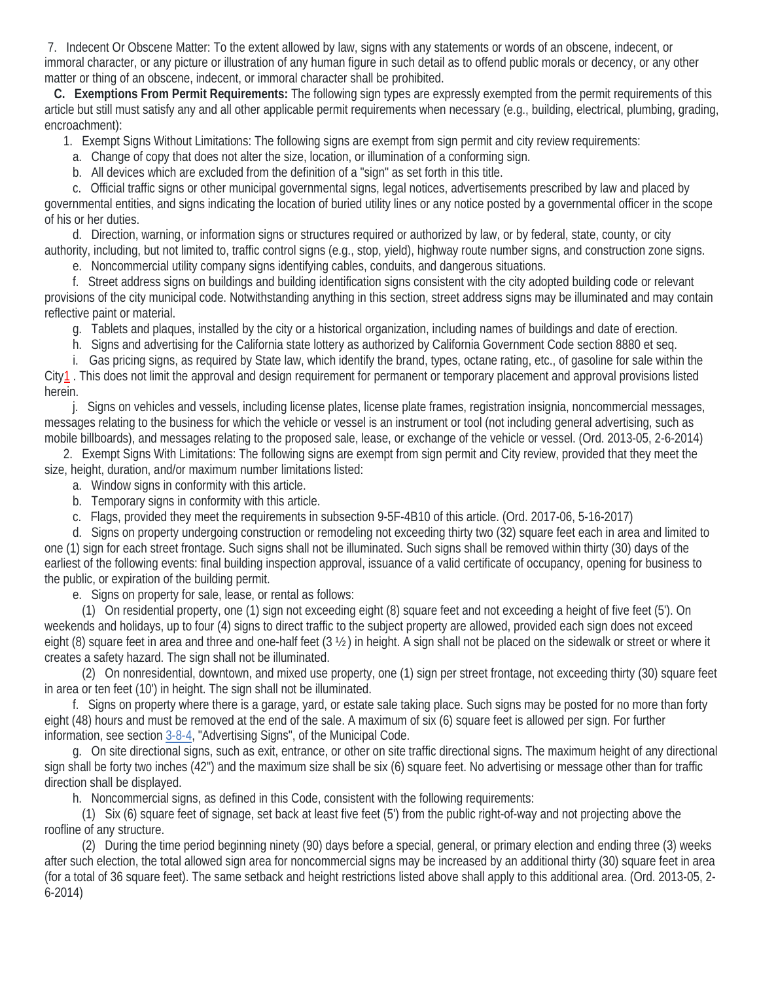7. Indecent Or Obscene Matter: To the extent allowed by law, signs with any statements or words of an obscene, indecent, or immoral character, or any picture or illustration of any human figure in such detail as to offend public morals or decency, or any other matter or thing of an obscene, indecent, or immoral character shall be prohibited.

 **C. Exemptions From Permit Requirements:** The following sign types are expressly exempted from the permit requirements of this article but still must satisfy any and all other applicable permit requirements when necessary (e.g., building, electrical, plumbing, grading, encroachment):

1. Exempt Signs Without Limitations: The following signs are exempt from sign permit and city review requirements:

a. Change of copy that does not alter the size, location, or illumination of a conforming sign.

b. All devices which are excluded from the definition of a "sign" as set forth in this title.

 c. Official traffic signs or other municipal governmental signs, legal notices, advertisements prescribed by law and placed by governmental entities, and signs indicating the location of buried utility lines or any notice posted by a governmental officer in the scope of his or her duties.

 d. Direction, warning, or information signs or structures required or authorized by law, or by federal, state, county, or city authority, including, but not limited to, traffic control signs (e.g., stop, yield), highway route number signs, and construction zone signs.

e. Noncommercial utility company signs identifying cables, conduits, and dangerous situations.

 f. Street address signs on buildings and building identification signs consistent with the city adopted building code or relevant provisions of the city municipal code. Notwithstanding anything in this section, street address signs may be illuminated and may contain reflective paint or material.

g. Tablets and plaques, installed by the city or a historical organization, including names of buildings and date of erection.

h. Signs and advertising for the California state lottery as authorized by California Government Code section 8880 et seq.

i. Gas pricing signs, as required by State law, which identify the brand, types, octane rating, etc., of gasoline for sale within the

Cit[y1](https://codelibrary.amlegal.com/codes/lemooreca/latest/lemoore_ca/0-0-0-9692#foot-41-1) . This does not limit the approval and design requirement for permanent or temporary placement and approval provisions listed herein.

 j. Signs on vehicles and vessels, including license plates, license plate frames, registration insignia, noncommercial messages, messages relating to the business for which the vehicle or vessel is an instrument or tool (not including general advertising, such as mobile billboards), and messages relating to the proposed sale, lease, or exchange of the vehicle or vessel. (Ord. 2013-05, 2-6-2014)

 2. Exempt Signs With Limitations: The following signs are exempt from sign permit and City review, provided that they meet the size, height, duration, and/or maximum number limitations listed:

- a. Window signs in conformity with this article.
- b. Temporary signs in conformity with this article.
- c. Flags, provided they meet the requirements in subsection 9-5F-4B10 of this article. (Ord. 2017-06, 5-16-2017)

 d. Signs on property undergoing construction or remodeling not exceeding thirty two (32) square feet each in area and limited to one (1) sign for each street frontage. Such signs shall not be illuminated. Such signs shall be removed within thirty (30) days of the earliest of the following events: final building inspection approval, issuance of a valid certificate of occupancy, opening for business to the public, or expiration of the building permit.

e. Signs on property for sale, lease, or rental as follows:

 (1) On residential property, one (1) sign not exceeding eight (8) square feet and not exceeding a height of five feet (5'). On weekends and holidays, up to four (4) signs to direct traffic to the subject property are allowed, provided each sign does not exceed eight (8) square feet in area and three and one-half feet (3 ½ ) in height. A sign shall not be placed on the sidewalk or street or where it creates a safety hazard. The sign shall not be illuminated.

 (2) On nonresidential, downtown, and mixed use property, one (1) sign per street frontage, not exceeding thirty (30) square feet in area or ten feet (10') in height. The sign shall not be illuminated.

 f. Signs on property where there is a garage, yard, or estate sale taking place. Such signs may be posted for no more than forty eight (48) hours and must be removed at the end of the sale. A maximum of six (6) square feet is allowed per sign. For further information, see section [3-8-4,](https://codelibrary.amlegal.com/codes/lemooreca/latest/lemoore_ca/0-0-0-1774#JD_3-8-4) "Advertising Signs", of the Municipal Code.

 g. On site directional signs, such as exit, entrance, or other on site traffic directional signs. The maximum height of any directional sign shall be forty two inches (42") and the maximum size shall be six (6) square feet. No advertising or message other than for traffic direction shall be displayed.

h. Noncommercial signs, as defined in this Code, consistent with the following requirements:

 (1) Six (6) square feet of signage, set back at least five feet (5') from the public right-of-way and not projecting above the roofline of any structure.

 (2) During the time period beginning ninety (90) days before a special, general, or primary election and ending three (3) weeks after such election, the total allowed sign area for noncommercial signs may be increased by an additional thirty (30) square feet in area (for a total of 36 square feet). The same setback and height restrictions listed above shall apply to this additional area. (Ord. 2013-05, 2- 6-2014)